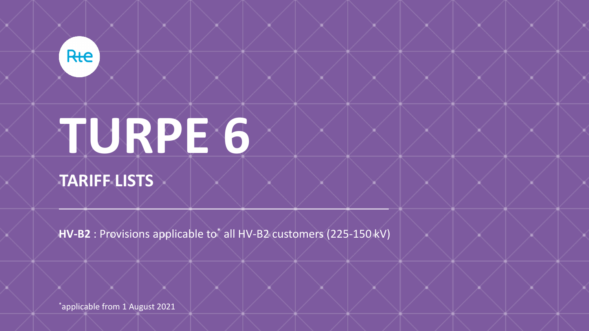

# **TURPE 6**

**TARIFF LISTS**

**HV-B2** : Provisions applicable to<sup>\*</sup> all HV-B2 customers (225-150 kV)

\*applicable from 1 August 2021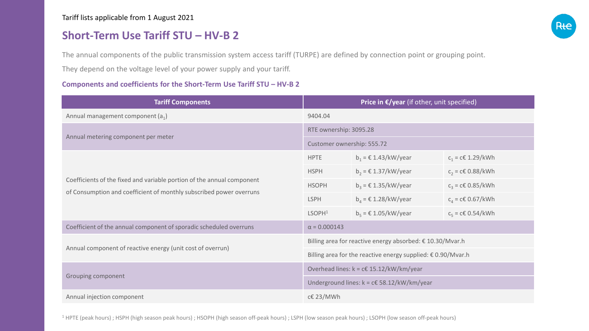### **Short-Term Use Tariff STU – HV-B 2**

The annual components of the public transmission system access tariff (TURPE) are defined by connection point or grouping point.

They depend on the voltage level of your power supply and your tariff.

#### **Components and coefficients for the Short-Term Use Tariff STU – HV-B 2**

| <b>Tariff Components</b>                                                                                                                      | Price in $\epsilon$ /year (if other, unit specified)                  |                                                  |                     |  |
|-----------------------------------------------------------------------------------------------------------------------------------------------|-----------------------------------------------------------------------|--------------------------------------------------|---------------------|--|
| Annual management component $(a_1)$                                                                                                           | 9404.04                                                               |                                                  |                     |  |
| Annual metering component per meter                                                                                                           | RTE ownership: 3095.28                                                |                                                  |                     |  |
|                                                                                                                                               | Customer ownership: 555.72                                            |                                                  |                     |  |
| Coefficients of the fixed and variable portion of the annual component<br>of Consumption and coefficient of monthly subscribed power overruns | <b>HPTE</b>                                                           | $b_1 = \epsilon$ 1.43/kW/year                    | $c_1$ = c€ 1.29/kWh |  |
|                                                                                                                                               | <b>HSPH</b>                                                           | $b_2 = \text{\textsterling} 1.37/\text{kW/year}$ | $c_2$ = c€ 0.88/kWh |  |
|                                                                                                                                               | <b>HSOPH</b>                                                          | $b_3$ = $\epsilon$ 1.35/kW/year                  | $c_3$ = c€ 0.85/kWh |  |
|                                                                                                                                               | <b>LSPH</b>                                                           | $b_4$ = $\epsilon$ 1.28/kW/year                  | $c_4$ = c€ 0.67/kWh |  |
|                                                                                                                                               | LSOPH <sup>1</sup>                                                    | $b_5$ = $\epsilon$ 1.05/kW/year                  | $c_5$ = c€ 0.54/kWh |  |
| Coefficient of the annual component of sporadic scheduled overruns                                                                            | $\alpha = 0.000143$                                                   |                                                  |                     |  |
| Annual component of reactive energy (unit cost of overrun)                                                                                    | Billing area for reactive energy absorbed: € 10.30/Mvar.h             |                                                  |                     |  |
|                                                                                                                                               | Billing area for the reactive energy supplied: $\epsilon$ 0.90/Mvar.h |                                                  |                     |  |
| Grouping component                                                                                                                            | Overhead lines: $k = c \in 15.12/kW/km/year$                          |                                                  |                     |  |
|                                                                                                                                               | Underground lines: $k = c \in 58.12/kW/km/year$                       |                                                  |                     |  |
| Annual injection component                                                                                                                    | c€ 23/MWh                                                             |                                                  |                     |  |

<sup>1</sup> HPTE (peak hours) ; HSPH (high season peak hours) ; HSOPH (high season off-peak hours) ; LSPH (low season peak hours) ; LSOPH (low season off-peak hours)

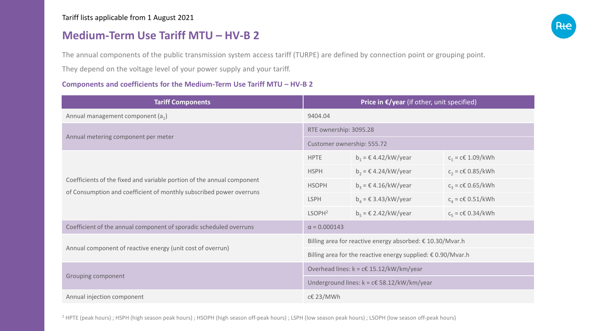## **Medium-Term Use Tariff MTU – HV-B 2**

The annual components of the public transmission system access tariff (TURPE) are defined by connection point or grouping point.

They depend on the voltage level of your power supply and your tariff.

#### **Components and coefficients for the Medium-Term Use Tariff MTU – HV-B 2**

| <b>Tariff Components</b>                                                                                                                      | Price in $\epsilon$ /year (if other, unit specified)                  |                                 |                     |  |
|-----------------------------------------------------------------------------------------------------------------------------------------------|-----------------------------------------------------------------------|---------------------------------|---------------------|--|
| Annual management component $(a_1)$                                                                                                           | 9404.04                                                               |                                 |                     |  |
| Annual metering component per meter                                                                                                           | RTE ownership: 3095.28                                                |                                 |                     |  |
|                                                                                                                                               | Customer ownership: 555.72                                            |                                 |                     |  |
| Coefficients of the fixed and variable portion of the annual component<br>of Consumption and coefficient of monthly subscribed power overruns | <b>HPTE</b>                                                           | $b_1 = \epsilon$ 4.42/kW/year   | $c_1$ = c€ 1.09/kWh |  |
|                                                                                                                                               | <b>HSPH</b>                                                           | $b_2 = \epsilon$ 4.24/kW/year   | $c_2$ = c€ 0.85/kWh |  |
|                                                                                                                                               | <b>HSOPH</b>                                                          | $b_3$ = $\in$ 4.16/kW/year      | $c_3$ = c€ 0.65/kWh |  |
|                                                                                                                                               | <b>LSPH</b>                                                           | $b_4$ = $\epsilon$ 3.43/kW/year | $c_4$ = c€ 0.51/kWh |  |
|                                                                                                                                               | LSOPH <sup>2</sup>                                                    | $b_5$ = $\epsilon$ 2.42/kW/year | $c_5$ = c€ 0.34/kWh |  |
| Coefficient of the annual component of sporadic scheduled overruns                                                                            | $\alpha = 0.000143$                                                   |                                 |                     |  |
| Annual component of reactive energy (unit cost of overrun)                                                                                    | Billing area for reactive energy absorbed: € 10.30/Mvar.h             |                                 |                     |  |
|                                                                                                                                               | Billing area for the reactive energy supplied: $\epsilon$ 0.90/Mvar.h |                                 |                     |  |
| Grouping component                                                                                                                            | Overhead lines: $k = c \in 15.12/kW/km/year$                          |                                 |                     |  |
|                                                                                                                                               | Underground lines: $k = c€ 58.12/kW/km/year$                          |                                 |                     |  |
| Annual injection component                                                                                                                    | c€ 23/MWh                                                             |                                 |                     |  |

<sup>2</sup> HPTE (peak hours) ; HSPH (high season peak hours) ; HSOPH (high season off-peak hours) ; LSPH (low season peak hours) ; LSOPH (low season off-peak hours)